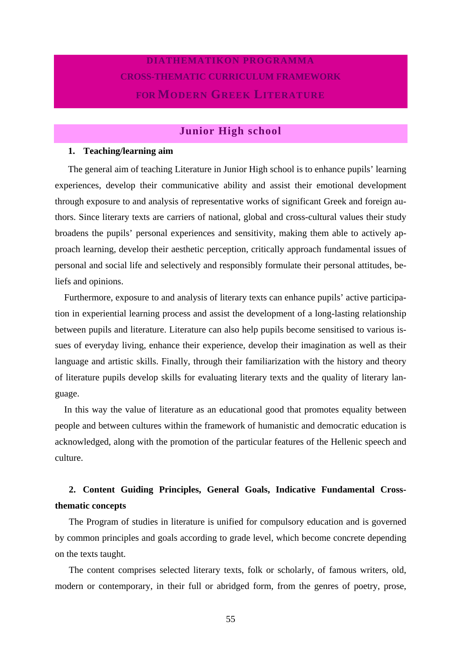## **DIATHEMATIKON PROGRAMMA CROSS-THEMATIC CURRICULUM FRAMEWORK FOR MODERN GREEK LITERATURE**

## **Junior High school**

## **1. Teaching/learning aim**

The general aim of teaching Literature in Junior High school is to enhance pupils' learning experiences, develop their communicative ability and assist their emotional development through exposure to and analysis of representative works of significant Greek and foreign authors. Since literary texts are carriers of national, global and cross-cultural values their study broadens the pupils' personal experiences and sensitivity, making them able to actively approach learning, develop their aesthetic perception, critically approach fundamental issues of personal and social life and selectively and responsibly formulate their personal attitudes, beliefs and opinions.

Furthermore, exposure to and analysis of literary texts can enhance pupils' active participation in experiential learning process and assist the development of a long-lasting relationship between pupils and literature. Literature can also help pupils become sensitised to various issues of everyday living, enhance their experience, develop their imagination as well as their language and artistic skills. Finally, through their familiarization with the history and theory of literature pupils develop skills for evaluating literary texts and the quality of literary language.

In this way the value of literature as an educational good that promotes equality between people and between cultures within the framework of humanistic and democratic education is acknowledged, along with the promotion of the particular features of the Hellenic speech and culture.

## **2. Content Guiding Principles, General Goals, Indicative Fundamental Crossthematic concepts**

The Program of studies in literature is unified for compulsory education and is governed by common principles and goals according to grade level, which become concrete depending on the texts taught.

The content comprises selected literary texts, folk or scholarly, of famous writers, old, modern or contemporary, in their full or abridged form, from the genres of poetry, prose,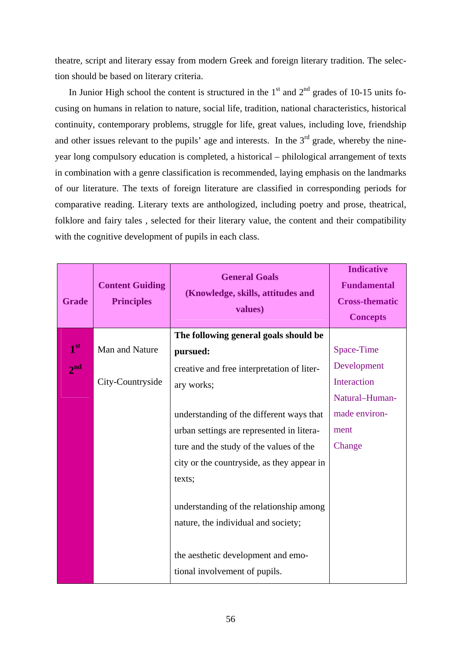theatre, script and literary essay from modern Greek and foreign literary tradition. The selection should be based on literary criteria.

In Junior High school the content is structured in the  $1<sup>st</sup>$  and  $2<sup>nd</sup>$  grades of 10-15 units focusing on humans in relation to nature, social life, tradition, national characteristics, historical continuity, contemporary problems, struggle for life, great values, including love, friendship and other issues relevant to the pupils' age and interests. In the  $3<sup>rd</sup>$  grade, whereby the nineyear long compulsory education is completed, a historical – philological arrangement of texts in combination with a genre classification is recommended, laying emphasis on the landmarks of our literature. The texts of foreign literature are classified in corresponding periods for comparative reading. Literary texts are anthologized, including poetry and prose, theatrical, folklore and fairy tales , selected for their literary value, the content and their compatibility with the cognitive development of pupils in each class.

| <b>Grade</b>    | <b>Content Guiding</b><br><b>Principles</b> | <b>General Goals</b><br>(Knowledge, skills, attitudes and<br>values)           | <b>Indicative</b><br><b>Fundamental</b><br><b>Cross-thematic</b><br><b>Concepts</b> |
|-----------------|---------------------------------------------|--------------------------------------------------------------------------------|-------------------------------------------------------------------------------------|
|                 |                                             | The following general goals should be                                          |                                                                                     |
| 1 <sup>st</sup> | Man and Nature                              | pursued:                                                                       | Space-Time                                                                          |
| $2^{nd}$        |                                             | creative and free interpretation of liter-                                     | Development                                                                         |
|                 | City-Countryside                            | ary works;                                                                     | Interaction                                                                         |
|                 |                                             |                                                                                | Natural-Human-                                                                      |
|                 |                                             | understanding of the different ways that                                       | made environ-                                                                       |
|                 |                                             | urban settings are represented in litera-                                      | ment                                                                                |
|                 |                                             | ture and the study of the values of the                                        | Change                                                                              |
|                 |                                             | city or the countryside, as they appear in                                     |                                                                                     |
|                 |                                             | texts;                                                                         |                                                                                     |
|                 |                                             | understanding of the relationship among<br>nature, the individual and society; |                                                                                     |
|                 |                                             | the aesthetic development and emo-<br>tional involvement of pupils.            |                                                                                     |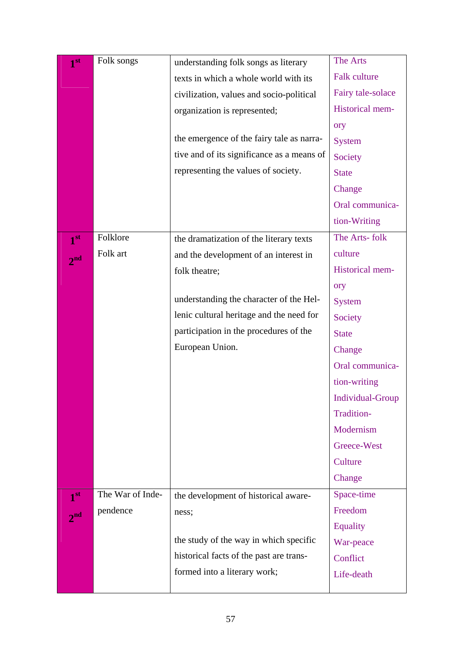| 1 <sup>st</sup> | Folk songs       | understanding folk songs as literary       | The Arts                |
|-----------------|------------------|--------------------------------------------|-------------------------|
|                 |                  | texts in which a whole world with its      | <b>Falk culture</b>     |
|                 |                  | civilization, values and socio-political   | Fairy tale-solace       |
|                 |                  | organization is represented;               | Historical mem-         |
|                 |                  |                                            | ory                     |
|                 |                  | the emergence of the fairy tale as narra-  | <b>System</b>           |
|                 |                  | tive and of its significance as a means of | Society                 |
|                 |                  | representing the values of society.        | <b>State</b>            |
|                 |                  |                                            | Change                  |
|                 |                  |                                            | Oral communica-         |
|                 |                  |                                            | tion-Writing            |
| 1 <sup>st</sup> | Folklore         | the dramatization of the literary texts    | The Arts-folk           |
| 2 <sup>nd</sup> | Folk art         | and the development of an interest in      | culture                 |
|                 |                  | folk theatre;                              | Historical mem-         |
|                 |                  |                                            | ory                     |
|                 |                  | understanding the character of the Hel-    | <b>System</b>           |
|                 |                  | lenic cultural heritage and the need for   | Society                 |
|                 |                  | participation in the procedures of the     | <b>State</b>            |
|                 |                  | European Union.                            | Change                  |
|                 |                  |                                            | Oral communica-         |
|                 |                  |                                            | tion-writing            |
|                 |                  |                                            | <b>Individual-Group</b> |
|                 |                  |                                            | Tradition-              |
|                 |                  |                                            | Modernism               |
|                 |                  |                                            | Greece-West             |
|                 |                  |                                            | Culture                 |
|                 |                  |                                            | Change                  |
| 1 <sup>st</sup> | The War of Inde- | the development of historical aware-       | Space-time              |
| 2 <sup>nd</sup> | pendence         | ness;                                      | Freedom                 |
|                 |                  |                                            | <b>Equality</b>         |
|                 |                  | the study of the way in which specific     | War-peace               |
|                 |                  | historical facts of the past are trans-    | Conflict                |
|                 |                  | formed into a literary work;               | Life-death              |
|                 |                  |                                            |                         |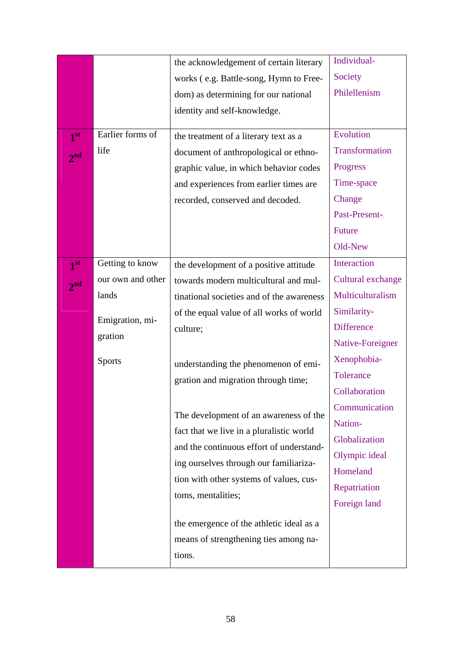|                 |                   | the acknowledgement of certain literary                                                                                        | Individual-       |
|-----------------|-------------------|--------------------------------------------------------------------------------------------------------------------------------|-------------------|
|                 |                   | works (e.g. Battle-song, Hymn to Free-                                                                                         | Society           |
|                 |                   | dom) as determining for our national                                                                                           | Philellenism      |
|                 |                   | identity and self-knowledge.                                                                                                   |                   |
|                 | Earlier forms of  |                                                                                                                                | Evolution         |
| 1 <sup>st</sup> | life              | the treatment of a literary text as a                                                                                          | Transformation    |
| 2 <sup>nd</sup> |                   | document of anthropological or ethno-                                                                                          |                   |
|                 |                   | graphic value, in which behavior codes                                                                                         | Progress          |
|                 |                   | and experiences from earlier times are                                                                                         | Time-space        |
|                 |                   | recorded, conserved and decoded.                                                                                               | Change            |
|                 |                   |                                                                                                                                | Past-Present-     |
|                 |                   |                                                                                                                                | Future            |
|                 |                   |                                                                                                                                | Old-New           |
| 1 <sup>st</sup> | Getting to know   | the development of a positive attitude                                                                                         | Interaction       |
| 2 <sup>nd</sup> | our own and other | towards modern multicultural and mul-                                                                                          | Cultural exchange |
|                 | lands             | tinational societies and of the awareness                                                                                      | Multiculturalism  |
|                 | Emigration, mi-   | of the equal value of all works of world                                                                                       | Similarity-       |
|                 | gration           | culture;                                                                                                                       | <b>Difference</b> |
|                 |                   |                                                                                                                                | Native-Foreigner  |
|                 | <b>Sports</b>     | understanding the phenomenon of emi-                                                                                           | Xenophobia-       |
|                 |                   | gration and migration through time;                                                                                            | Tolerance         |
|                 |                   |                                                                                                                                | Collaboration     |
|                 |                   | The development of an awareness of the<br>fact that we live in a pluralistic world<br>and the continuous effort of understand- | Communication     |
|                 |                   |                                                                                                                                | Nation-           |
|                 |                   |                                                                                                                                | Globalization     |
|                 |                   | ing ourselves through our familiariza-                                                                                         | Olympic ideal     |
|                 |                   | tion with other systems of values, cus-                                                                                        | Homeland          |
|                 |                   |                                                                                                                                | Repatriation      |
|                 |                   | toms, mentalities;                                                                                                             | Foreign land      |
|                 |                   | the emergence of the athletic ideal as a                                                                                       |                   |
|                 |                   | means of strengthening ties among na-                                                                                          |                   |
|                 |                   | tions.                                                                                                                         |                   |
|                 |                   |                                                                                                                                |                   |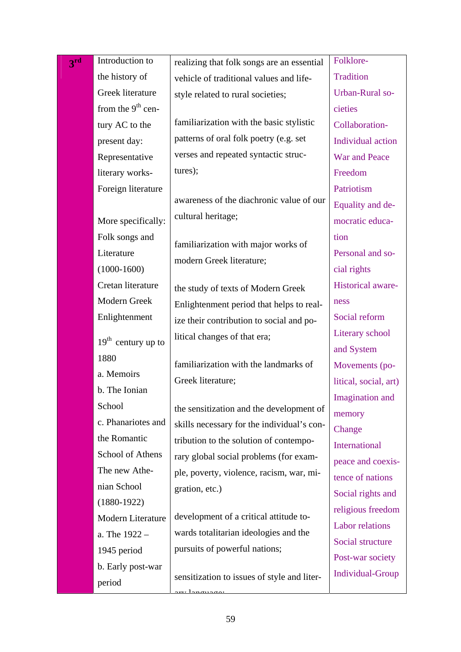| 3 <sup>rd</sup> | Introduction to                    | realizing that folk songs are an essential  | Folklore-              |
|-----------------|------------------------------------|---------------------------------------------|------------------------|
|                 | the history of                     | vehicle of traditional values and life-     | <b>Tradition</b>       |
|                 | Greek literature                   | style related to rural societies;           | Urban-Rural so-        |
|                 | from the $9th$ cen-                |                                             | cieties                |
|                 | tury AC to the                     | familiarization with the basic stylistic    | Collaboration-         |
|                 | present day:                       | patterns of oral folk poetry (e.g. set      | Individual action      |
|                 | Representative                     | verses and repeated syntactic struc-        | <b>War and Peace</b>   |
|                 | literary works-                    | tures);                                     | Freedom                |
|                 | Foreign literature                 |                                             | Patriotism             |
|                 |                                    | awareness of the diachronic value of our    | Equality and de-       |
|                 | More specifically:                 | cultural heritage;                          | mocratic educa-        |
|                 | Folk songs and                     |                                             | tion                   |
|                 | Literature                         | familiarization with major works of         | Personal and so-       |
|                 | $(1000-1600)$                      | modern Greek literature;                    | cial rights            |
|                 | Cretan literature                  | the study of texts of Modern Greek          | Historical aware-      |
|                 | Modern Greek                       | Enlightenment period that helps to real-    | ness                   |
|                 | Enlightenment                      | ize their contribution to social and po-    | Social reform          |
|                 | $19th$ century up to               | litical changes of that era;                | Literary school        |
|                 | 1880                               |                                             | and System             |
|                 |                                    | familiarization with the landmarks of       | Movements (po-         |
|                 | a. Memoirs                         | Greek literature;                           | litical, social, art)  |
|                 | b. The Ionian<br>School            |                                             | Imagination and        |
|                 |                                    | the sensitization and the development of    | memory                 |
|                 | c. Phanariotes and<br>the Romantic | skills necessary for the individual's con-  | Change                 |
|                 | School of Athens                   | tribution to the solution of contempo-      | International          |
|                 |                                    | rary global social problems (for exam-      | peace and coexis-      |
|                 | The new Athe-                      | ple, poverty, violence, racism, war, mi-    | tence of nations       |
|                 | nian School                        | gration, etc.)                              | Social rights and      |
|                 | $(1880-1922)$                      | development of a critical attitude to-      | religious freedom      |
|                 | Modern Literature                  | wards totalitarian ideologies and the       | <b>Labor relations</b> |
|                 | a. The 1922 -                      | pursuits of powerful nations;               | Social structure       |
|                 | 1945 period                        |                                             | Post-war society       |
|                 | b. Early post-war<br>period        | sensitization to issues of style and liter- | Individual-Group       |
|                 |                                    |                                             |                        |